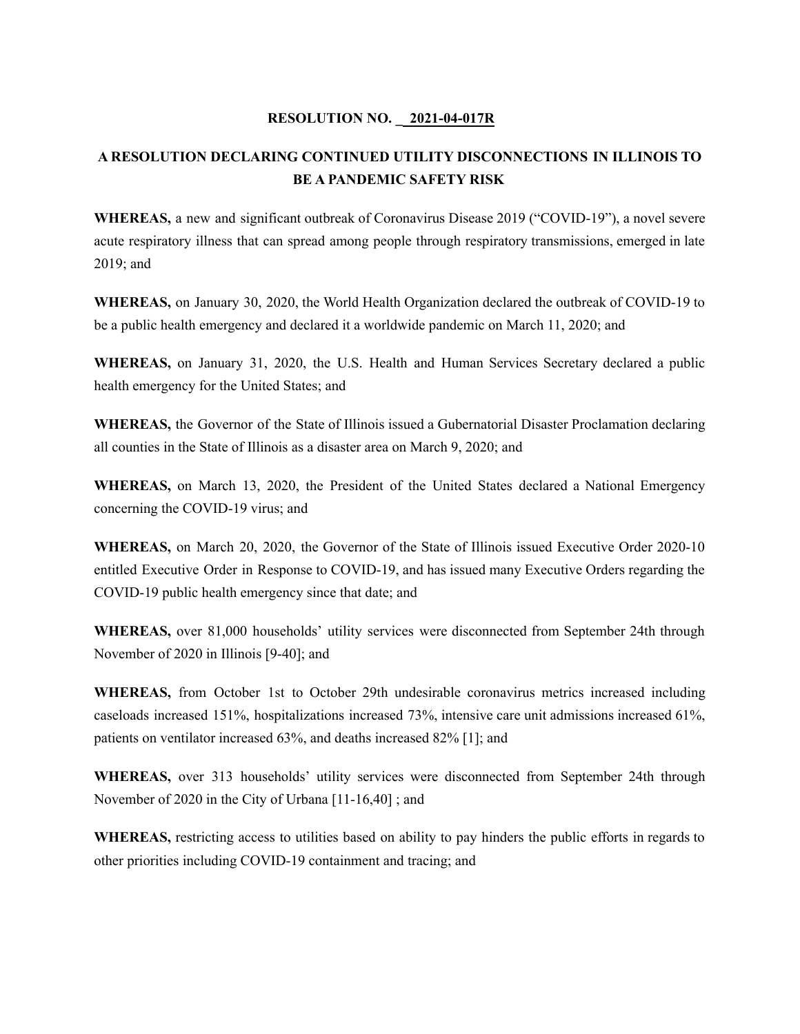## **RESOLUTION NO. \_ 2021-04-017R**

# **A RESOLUTION DECLARING CONTINUED UTILITY DISCONNECTIONS IN ILLINOIS TO BE A PANDEMIC SAFETY RISK**

**WHEREAS,** a new and significant outbreak of Coronavirus Disease 2019 ("COVID-19"), a novel severe acute respiratory illness that can spread among people through respiratory transmissions, emerged in late 2019; and

**WHEREAS,** on January 30, 2020, the World Health Organization declared the outbreak of COVID-19 to be a public health emergency and declared it a worldwide pandemic on March 11, 2020; and

**WHEREAS,** on January 31, 2020, the U.S. Health and Human Services Secretary declared a public health emergency for the United States; and

**WHEREAS,** the Governor of the State of Illinois issued a Gubernatorial Disaster Proclamation declaring all counties in the State of Illinois as a disaster area on March 9, 2020; and

**WHEREAS,** on March 13, 2020, the President of the United States declared a National Emergency concerning the COVID-19 virus; and

**WHEREAS,** on March 20, 2020, the Governor of the State of Illinois issued Executive Order 2020-10 entitled Executive Order in Response to COVID-19, and has issued many Executive Orders regarding the COVID-19 public health emergency since that date; and

**WHEREAS,** over 81,000 households' utility services were disconnected from September 24th through November of 2020 in Illinois [9-40]; and

**WHEREAS,** from October 1st to October 29th undesirable coronavirus metrics increased including caseloads increased 151%, hospitalizations increased 73%, intensive care unit admissions increased 61%, patients on ventilator increased 63%, and deaths increased 82% [1]; and

**WHEREAS,** over 313 households' utility services were disconnected from September 24th through November of 2020 in the City of Urbana [11-16,40] ; and

**WHEREAS,** restricting access to utilities based on ability to pay hinders the public efforts in regards to other priorities including COVID-19 containment and tracing; and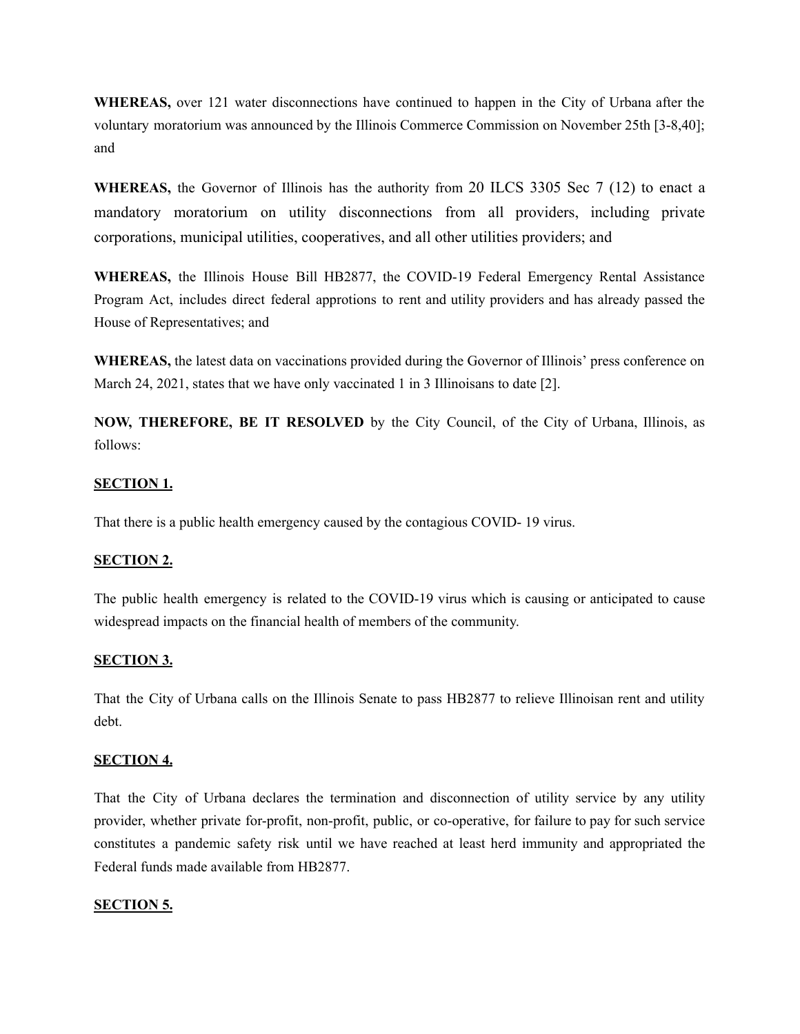**WHEREAS,** over 121 water disconnections have continued to happen in the City of Urbana after the voluntary moratorium was announced by the Illinois Commerce Commission on November 25th [3-8,40]; and

**WHEREAS,** the Governor of Illinois has the authority from 20 ILCS 3305 Sec 7 (12) to enact a mandatory moratorium on utility disconnections from all providers, including private corporations, municipal utilities, cooperatives, and all other utilities providers; and

**WHEREAS,** the Illinois House Bill HB2877, the COVID-19 Federal Emergency Rental Assistance Program Act, includes direct federal approtions to rent and utility providers and has already passed the House of Representatives; and

**WHEREAS,** the latest data on vaccinations provided during the Governor of Illinois' press conference on March 24, 2021, states that we have only vaccinated 1 in 3 Illinoisans to date [2].

**NOW, THEREFORE, BE IT RESOLVED** by the City Council, of the City of Urbana, Illinois, as follows:

## **SECTION 1.**

That there is a public health emergency caused by the contagious COVID- 19 virus.

## **SECTION 2.**

The public health emergency is related to the COVID-19 virus which is causing or anticipated to cause widespread impacts on the financial health of members of the community.

#### **SECTION 3.**

That the City of Urbana calls on the Illinois Senate to pass HB2877 to relieve Illinoisan rent and utility debt.

#### **SECTION 4.**

That the City of Urbana declares the termination and disconnection of utility service by any utility provider, whether private for-profit, non-profit, public, or co-operative, for failure to pay for such service constitutes a pandemic safety risk until we have reached at least herd immunity and appropriated the Federal funds made available from HB2877.

#### **SECTION 5.**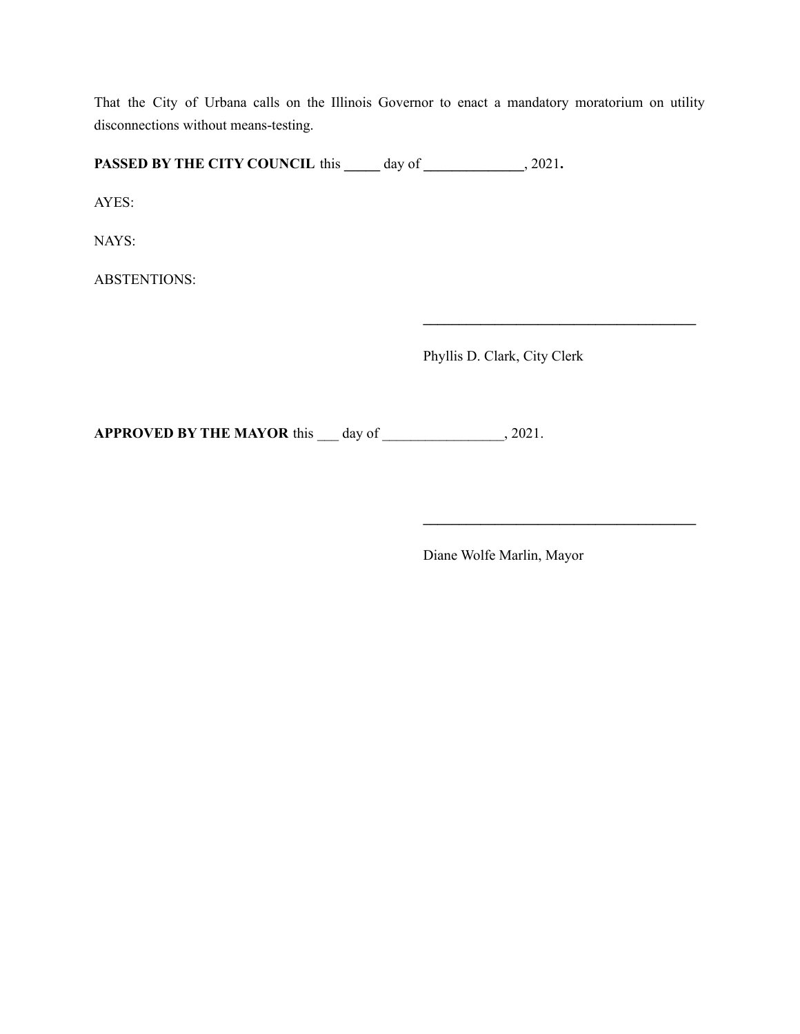That the City of Urbana calls on the Illinois Governor to enact a mandatory moratorium on utility disconnections without means-testing.

**PASSED BY THE CITY COUNCIL** this **\_\_\_\_\_** day of **\_\_\_\_\_\_\_\_\_\_\_\_\_\_**, 2021**.**

AYES:

NAYS:

ABSTENTIONS:

Phyllis D. Clark, City Clerk

**\_\_\_\_\_\_\_\_\_\_\_\_\_\_\_\_\_\_\_\_\_\_\_\_\_\_\_\_\_\_\_\_\_\_\_\_\_\_**

**\_\_\_\_\_\_\_\_\_\_\_\_\_\_\_\_\_\_\_\_\_\_\_\_\_\_\_\_\_\_\_\_\_\_\_\_\_\_**

**APPROVED BY THE MAYOR** this \_\_\_ day of \_\_\_\_\_\_\_\_\_\_\_\_\_\_\_\_\_, 2021.

Diane Wolfe Marlin, Mayor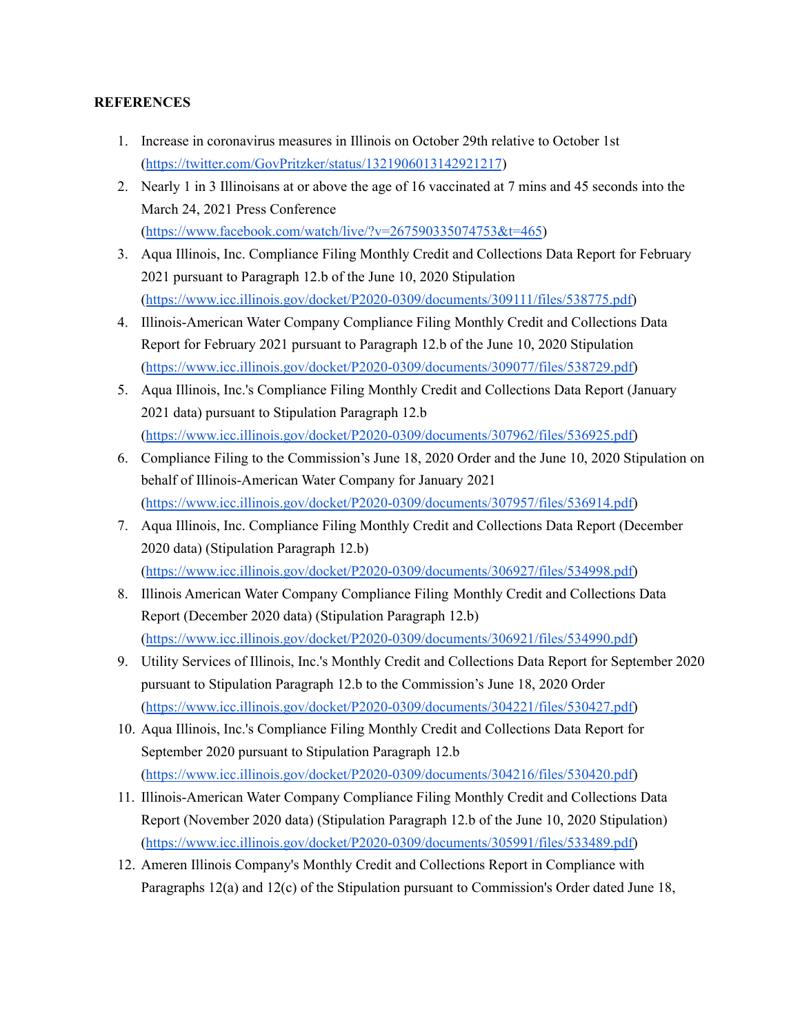## **REFERENCES**

- 1. Increase in coronavirus measures in Illinois on October 29th relative to October 1st (<https://twitter.com/GovPritzker/status/1321906013142921217>)
- 2. Nearly 1 in 3 Illinoisans at or above the age of 16 vaccinated at 7 mins and 45 seconds into the March 24, 2021 Press Conference (<https://www.facebook.com/watch/live/?v=267590335074753&t=465>)
- 3. Aqua Illinois, Inc. Compliance Filing Monthly Credit and Collections Data Report for February 2021 pursuant to Paragraph 12.b of the June 10, 2020 Stipulation ([https://www.icc.illinois.gov/docket/P2020-0309/documents/309111/files/538775.pdf\)](https://www.icc.illinois.gov/docket/P2020-0309/documents/309111/files/538775.pdf)
- 4. Illinois-American Water Company Compliance Filing Monthly Credit and Collections Data Report for February 2021 pursuant to Paragraph 12.b of the June 10, 2020 Stipulation ([https://www.icc.illinois.gov/docket/P2020-0309/documents/309077/files/538729.pdf\)](https://www.icc.illinois.gov/docket/P2020-0309/documents/309077/files/538729.pdf)
- 5. Aqua Illinois, Inc.'s Compliance Filing Monthly Credit and Collections Data Report (January 2021 data) pursuant to Stipulation Paragraph 12.b ([https://www.icc.illinois.gov/docket/P2020-0309/documents/307962/files/536925.pdf\)](https://www.icc.illinois.gov/docket/P2020-0309/documents/307962/files/536925.pdf)
- 6. Compliance Filing to the Commission's June 18, 2020 Order and the June 10, 2020 Stipulation on behalf of Illinois-American Water Company for January 2021 ([https://www.icc.illinois.gov/docket/P2020-0309/documents/307957/files/536914.pdf\)](https://www.icc.illinois.gov/docket/P2020-0309/documents/307957/files/536914.pdf)
- 7. Aqua Illinois, Inc. Compliance Filing Monthly Credit and Collections Data Report (December 2020 data) (Stipulation Paragraph 12.b) ([https://www.icc.illinois.gov/docket/P2020-0309/documents/306927/files/534998.pdf\)](https://www.icc.illinois.gov/docket/P2020-0309/documents/306927/files/534998.pdf)
- 8. Illinois American Water Company Compliance Filing Monthly Credit and Collections Data Report (December 2020 data) (Stipulation Paragraph 12.b) ([https://www.icc.illinois.gov/docket/P2020-0309/documents/306921/files/534990.pdf\)](https://www.icc.illinois.gov/docket/P2020-0309/documents/306921/files/534990.pdf)
- 9. Utility Services of Illinois, Inc.'s Monthly Credit and Collections Data Report for September 2020 pursuant to Stipulation Paragraph 12.b to the Commission's June 18, 2020 Order ([https://www.icc.illinois.gov/docket/P2020-0309/documents/304221/files/530427.pdf\)](https://www.icc.illinois.gov/docket/P2020-0309/documents/304221/files/530427.pdf)
- 10. Aqua Illinois, Inc.'s Compliance Filing Monthly Credit and Collections Data Report for September 2020 pursuant to Stipulation Paragraph 12.b ([https://www.icc.illinois.gov/docket/P2020-0309/documents/304216/files/530420.pdf\)](https://www.icc.illinois.gov/docket/P2020-0309/documents/304216/files/530420.pdf)
- 11. Illinois-American Water Company Compliance Filing Monthly Credit and Collections Data Report (November 2020 data) (Stipulation Paragraph 12.b of the June 10, 2020 Stipulation) ([https://www.icc.illinois.gov/docket/P2020-0309/documents/305991/files/533489.pdf\)](https://www.icc.illinois.gov/docket/P2020-0309/documents/305991/files/533489.pdf)
- 12. Ameren Illinois Company's Monthly Credit and Collections Report in Compliance with Paragraphs 12(a) and 12(c) of the Stipulation pursuant to Commission's Order dated June 18,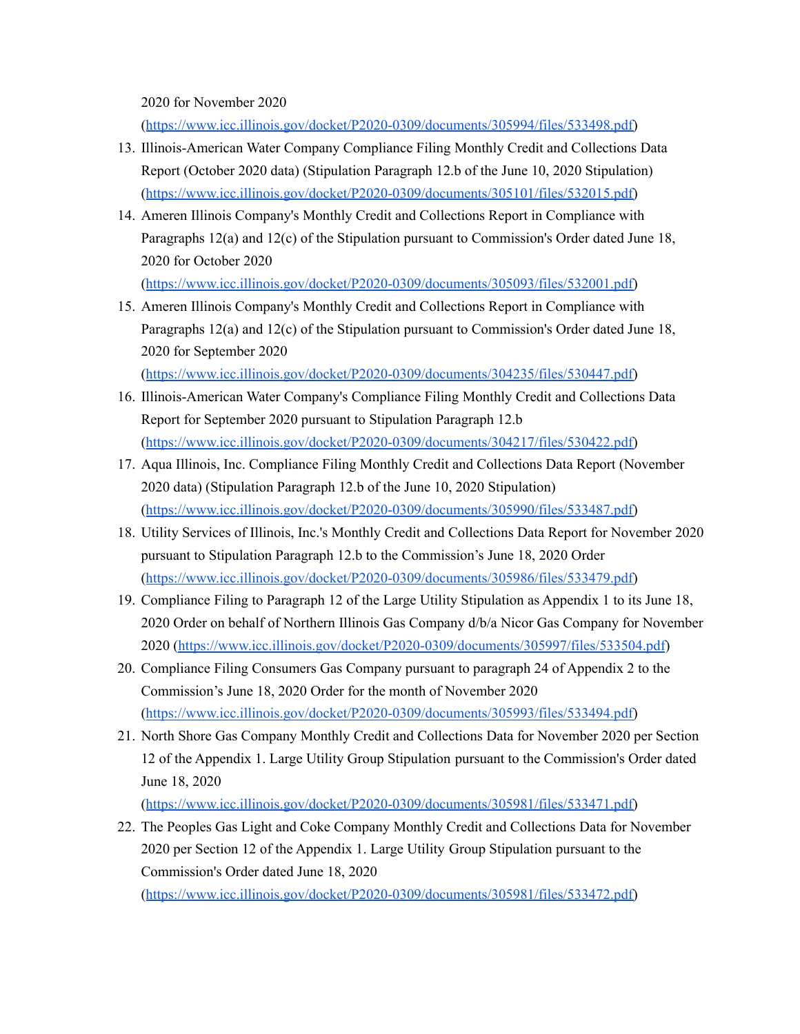2020 for November 2020

([https://www.icc.illinois.gov/docket/P2020-0309/documents/305994/files/533498.pdf\)](https://www.icc.illinois.gov/docket/P2020-0309/documents/305994/files/533498.pdf)

- 13. Illinois-American Water Company Compliance Filing Monthly Credit and Collections Data Report (October 2020 data) (Stipulation Paragraph 12.b of the June 10, 2020 Stipulation) ([https://www.icc.illinois.gov/docket/P2020-0309/documents/305101/files/532015.pdf\)](https://www.icc.illinois.gov/docket/P2020-0309/documents/305101/files/532015.pdf)
- 14. Ameren Illinois Company's Monthly Credit and Collections Report in Compliance with Paragraphs 12(a) and 12(c) of the Stipulation pursuant to Commission's Order dated June 18, 2020 for October 2020

([https://www.icc.illinois.gov/docket/P2020-0309/documents/305093/files/532001.pdf\)](https://www.icc.illinois.gov/docket/P2020-0309/documents/305093/files/532001.pdf)

15. Ameren Illinois Company's Monthly Credit and Collections Report in Compliance with Paragraphs 12(a) and 12(c) of the Stipulation pursuant to Commission's Order dated June 18, 2020 for September 2020

([https://www.icc.illinois.gov/docket/P2020-0309/documents/304235/files/530447.pdf\)](https://www.icc.illinois.gov/docket/P2020-0309/documents/304235/files/530447.pdf)

- 16. Illinois-American Water Company's Compliance Filing Monthly Credit and Collections Data Report for September 2020 pursuant to Stipulation Paragraph 12.b ([https://www.icc.illinois.gov/docket/P2020-0309/documents/304217/files/530422.pdf\)](https://www.icc.illinois.gov/docket/P2020-0309/documents/304217/files/530422.pdf)
- 17. Aqua Illinois, Inc. Compliance Filing Monthly Credit and Collections Data Report (November 2020 data) (Stipulation Paragraph 12.b of the June 10, 2020 Stipulation) ([https://www.icc.illinois.gov/docket/P2020-0309/documents/305990/files/533487.pdf\)](https://www.icc.illinois.gov/docket/P2020-0309/documents/305990/files/533487.pdf)
- 18. Utility Services of Illinois, Inc.'s Monthly Credit and Collections Data Report for November 2020 pursuant to Stipulation Paragraph 12.b to the Commission's June 18, 2020 Order ([https://www.icc.illinois.gov/docket/P2020-0309/documents/305986/files/533479.pdf\)](https://www.icc.illinois.gov/docket/P2020-0309/documents/305986/files/533479.pdf)
- 19. Compliance Filing to Paragraph 12 of the Large Utility Stipulation as Appendix 1 to its June 18, 2020 Order on behalf of Northern Illinois Gas Company d/b/a Nicor Gas Company for November 2020 [\(https://www.icc.illinois.gov/docket/P2020-0309/documents/305997/files/533504.pdf](https://www.icc.illinois.gov/docket/P2020-0309/documents/305997/files/533504.pdf))
- 20. Compliance Filing Consumers Gas Company pursuant to paragraph 24 of Appendix 2 to the Commission's June 18, 2020 Order for the month of November 2020 ([https://www.icc.illinois.gov/docket/P2020-0309/documents/305993/files/533494.pdf\)](https://www.icc.illinois.gov/docket/P2020-0309/documents/305993/files/533494.pdf)
- 21. North Shore Gas Company Monthly Credit and Collections Data for November 2020 per Section 12 of the Appendix 1. Large Utility Group Stipulation pursuant to the Commission's Order dated June 18, 2020

([https://www.icc.illinois.gov/docket/P2020-0309/documents/305981/files/533471.pdf\)](https://www.icc.illinois.gov/docket/P2020-0309/documents/305981/files/533471.pdf)

22. The Peoples Gas Light and Coke Company Monthly Credit and Collections Data for November 2020 per Section 12 of the Appendix 1. Large Utility Group Stipulation pursuant to the Commission's Order dated June 18, 2020

([https://www.icc.illinois.gov/docket/P2020-0309/documents/305981/files/533472.pdf\)](https://www.icc.illinois.gov/docket/P2020-0309/documents/305981/files/533472.pdf)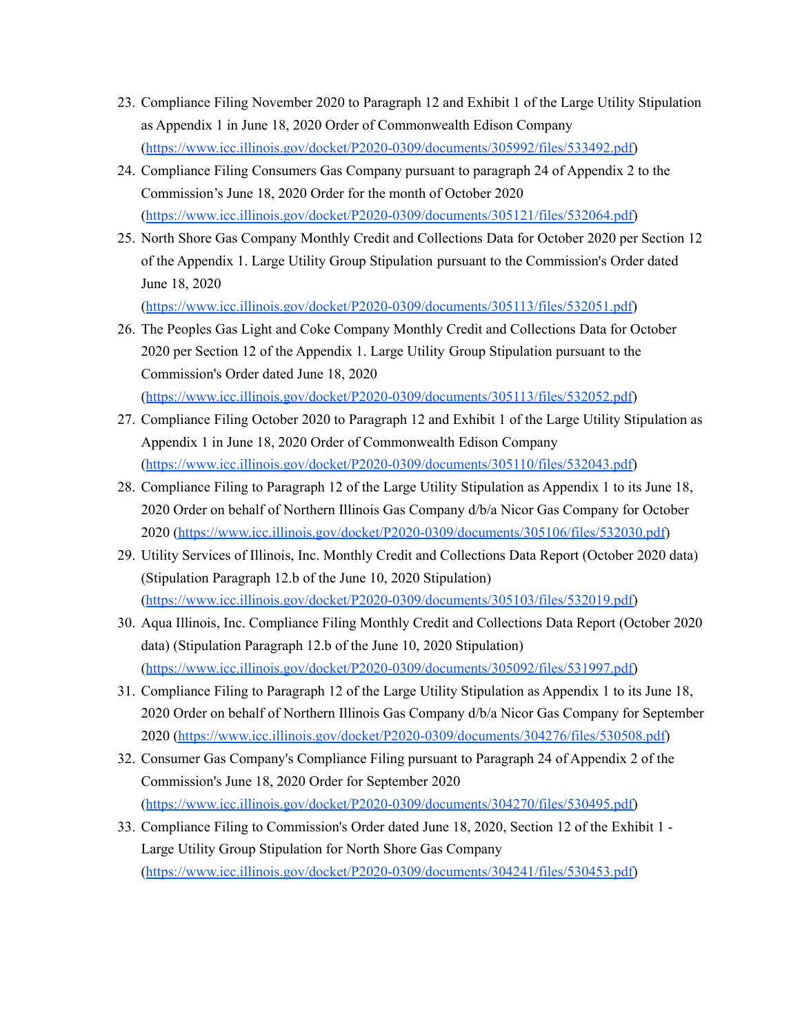- 23. Compliance Filing November 2020 to Paragraph 12 and Exhibit 1 of the Large Utility Stipulation as Appendix 1 in June 18, 2020 Order of Commonwealth Edison Company ([https://www.icc.illinois.gov/docket/P2020-0309/documents/305992/files/533492.pdf\)](https://www.icc.illinois.gov/docket/P2020-0309/documents/305992/files/533492.pdf)
- 24. Compliance Filing Consumers Gas Company pursuant to paragraph 24 of Appendix 2 to the Commission's June 18, 2020 Order for the month of October 2020 ([https://www.icc.illinois.gov/docket/P2020-0309/documents/305121/files/532064.pdf\)](https://www.icc.illinois.gov/docket/P2020-0309/documents/305121/files/532064.pdf)
- 25. North Shore Gas Company Monthly Credit and Collections Data for October 2020 per Section 12 of the Appendix 1. Large Utility Group Stipulation pursuant to the Commission's Order dated June 18, 2020

(<https://www.icc.illinois.gov/docket/P2020-0309/documents/305113/files/532051.pdf>)

- 26. The Peoples Gas Light and Coke Company Monthly Credit and Collections Data for October 2020 per Section 12 of the Appendix 1. Large Utility Group Stipulation pursuant to the Commission's Order dated June 18, 2020 (<https://www.icc.illinois.gov/docket/P2020-0309/documents/305113/files/532052.pdf>)
- 27. Compliance Filing October 2020 to Paragraph 12 and Exhibit 1 of the Large Utility Stipulation as Appendix 1 in June 18, 2020 Order of Commonwealth Edison Company (<https://www.icc.illinois.gov/docket/P2020-0309/documents/305110/files/532043.pdf>)
- 28. Compliance Filing to Paragraph 12 of the Large Utility Stipulation as Appendix 1 to its June 18, 2020 Order on behalf of Northern Illinois Gas Company d/b/a Nicor Gas Company for October 2020 [\(https://www.icc.illinois.gov/docket/P2020-0309/documents/305106/files/532030.pdf](https://www.icc.illinois.gov/docket/P2020-0309/documents/305106/files/532030.pdf))
- 29. Utility Services of Illinois, Inc. Monthly Credit and Collections Data Report (October 2020 data) (Stipulation Paragraph 12.b of the June 10, 2020 Stipulation) ([https://www.icc.illinois.gov/docket/P2020-0309/documents/305103/files/532019.pdf\)](https://www.icc.illinois.gov/docket/P2020-0309/documents/305103/files/532019.pdf)
- 30. Aqua Illinois, Inc. Compliance Filing Monthly Credit and Collections Data Report (October 2020 data) (Stipulation Paragraph 12.b of the June 10, 2020 Stipulation) ([https://www.icc.illinois.gov/docket/P2020-0309/documents/305092/files/531997.pdf\)](https://www.icc.illinois.gov/docket/P2020-0309/documents/305092/files/531997.pdf)
- 31. Compliance Filing to Paragraph 12 of the Large Utility Stipulation as Appendix 1 to its June 18, 2020 Order on behalf of Northern Illinois Gas Company d/b/a Nicor Gas Company for September 2020 [\(https://www.icc.illinois.gov/docket/P2020-0309/documents/304276/files/530508.pdf](https://www.icc.illinois.gov/docket/P2020-0309/documents/304276/files/530508.pdf))
- 32. Consumer Gas Company's Compliance Filing pursuant to Paragraph 24 of Appendix 2 of the Commission's June 18, 2020 Order for September 2020 ([https://www.icc.illinois.gov/docket/P2020-0309/documents/304270/files/530495.pdf\)](https://www.icc.illinois.gov/docket/P2020-0309/documents/304270/files/530495.pdf)
- 33. Compliance Filing to Commission's Order dated June 18, 2020, Section 12 of the Exhibit 1 Large Utility Group Stipulation for North Shore Gas Company ([https://www.icc.illinois.gov/docket/P2020-0309/documents/304241/files/530453.pdf\)](https://www.icc.illinois.gov/docket/P2020-0309/documents/304241/files/530453.pdf)